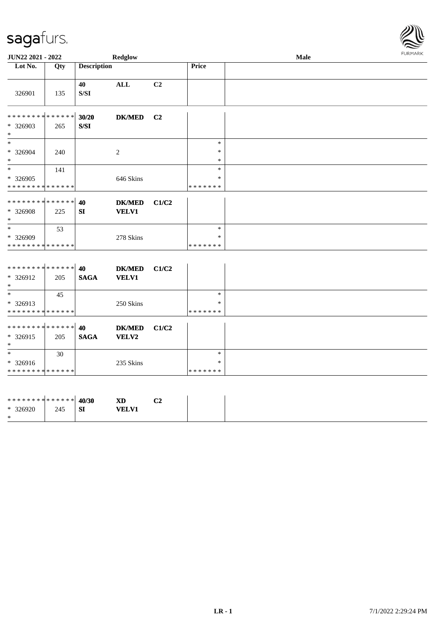\*

\* \*

\* 326913

\* 326916

\* \* \* \* \* \* \* \* \* \* \* \* \* \*

\* \* \* \* \* \* \* \* \* \* \* \* \* \* \* 326915 205

\* \* \* \* \* \* \* \* \* \* \* \* \* \*

45

30

250 Skins

**40 DK/MED C1/C2**

235 Skins

**SAGA VELV2**



| JUN22 2021 - 2022            |     |                                                                                              | Redglow        |                |                  | Male | <b>FURMARK</b> |
|------------------------------|-----|----------------------------------------------------------------------------------------------|----------------|----------------|------------------|------|----------------|
| Lot No.                      | Qty | <b>Description</b>                                                                           |                |                | Price            |      |                |
| 326901                       | 135 | 40<br>$\ensuremath{\mathrm{S}}\xspace/\ensuremath{\mathrm{S}}\xspace\ensuremath{\mathrm{I}}$ | ALL            | C2             |                  |      |                |
| ******** <mark>******</mark> |     | 30/20                                                                                        | <b>DK/MED</b>  | C <sub>2</sub> |                  |      |                |
| * 326903<br>$\ast$           | 265 | $S/SI$                                                                                       |                |                |                  |      |                |
| $\ast$                       |     |                                                                                              |                |                | $\ast$           |      |                |
| * 326904<br>$\ast$           | 240 |                                                                                              | $\overline{c}$ |                | $\ast$<br>$\ast$ |      |                |
| $\ast$                       | 141 |                                                                                              |                |                | *                |      |                |
| * 326905                     |     |                                                                                              | 646 Skins      |                | $\ast$           |      |                |
| **************               |     |                                                                                              |                |                | *******          |      |                |
| **************               |     | 40                                                                                           | <b>DK/MED</b>  | C1/C2          |                  |      |                |
| * 326908<br>$\ast$           | 225 | <b>SI</b>                                                                                    | <b>VELV1</b>   |                |                  |      |                |
| $*$                          | 53  |                                                                                              |                |                | $\ast$           |      |                |
| * 326909                     |     |                                                                                              | 278 Skins      |                | *                |      |                |
| **************               |     |                                                                                              |                |                | *******          |      |                |
|                              |     |                                                                                              |                |                |                  |      |                |
| ******** <mark>******</mark> |     | 40                                                                                           | <b>DK/MED</b>  | C1/C2          |                  |      |                |
| * 326912                     | 205 | <b>SAGA</b>                                                                                  | <b>VELV1</b>   |                |                  |      |                |
| $\ast$                       |     |                                                                                              |                |                |                  |      |                |

| ********* <mark>******</mark> 40/30 |     |           | <b>XD</b>    | C <sub>2</sub> |
|-------------------------------------|-----|-----------|--------------|----------------|
| * 326920                            | 245 | <b>SI</b> | <b>VELV1</b> |                |
| *                                   |     |           |              |                |

\* \*

\* \*

\* \* \* \* \* \* \*

\* \* \* \* \* \* \*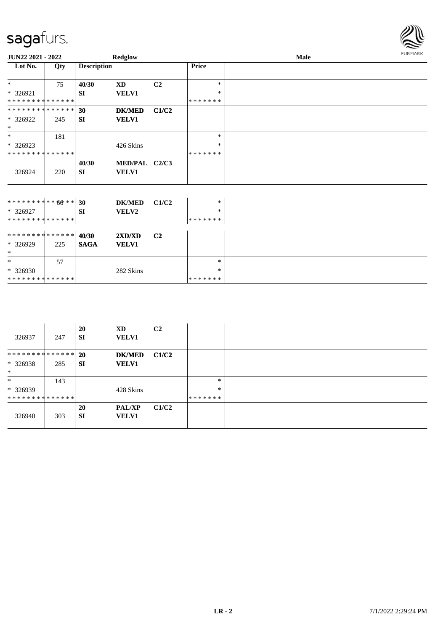| JUN22 2021 - 2022              |     |                    | <b>Redglow</b>                |                |              | Male | <b>FURMARK</b> |
|--------------------------------|-----|--------------------|-------------------------------|----------------|--------------|------|----------------|
| Lot No.                        | Qty | <b>Description</b> |                               |                | <b>Price</b> |      |                |
| $*$                            | 75  | 40/30              | XD                            | C <sub>2</sub> | $\ast$       |      |                |
| $* 326921$                     |     | <b>SI</b>          | <b>VELV1</b>                  |                | ∗            |      |                |
| **************                 |     |                    |                               |                | *******      |      |                |
| **************                 |     | 30                 | <b>DK/MED</b>                 | C1/C2          |              |      |                |
| * 326922<br>$*$                | 245 | SI                 | <b>VELV1</b>                  |                |              |      |                |
| $*$                            | 181 |                    |                               |                | $\ast$       |      |                |
| $*326923$                      |     |                    | 426 Skins                     |                | $\ast$       |      |                |
| **************                 |     |                    |                               |                | *******      |      |                |
| 326924                         | 220 | 40/30<br><b>SI</b> | MED/PAL C2/C3<br><b>VELV1</b> |                |              |      |                |
|                                |     |                    |                               |                |              |      |                |
| ******** <sup>*</sup> ***** 30 |     |                    | <b>DK/MED</b>                 | C1/C2          | $\ast$       |      |                |
| * 326927                       |     | SI                 | VELV2                         |                | $\ast$       |      |                |
| **************                 |     |                    |                               |                | *******      |      |                |
| ******** <mark>******</mark>   |     | 40/30              | 2XD/XD                        | C <sub>2</sub> |              |      |                |
| * 326929<br>$\ast$             | 225 | <b>SAGA</b>        | <b>VELV1</b>                  |                |              |      |                |
| $*$                            | 57  |                    |                               |                | $\ast$       |      |                |
| $*326930$                      |     |                    | 282 Skins                     |                | *            |      |                |
| **************                 |     |                    |                               |                | *******      |      |                |

| 326937                        | 247 | 20<br><b>SI</b> | XD<br><b>VELV1</b> | C <sub>2</sub> |         |
|-------------------------------|-----|-----------------|--------------------|----------------|---------|
| ************** 20             |     |                 | <b>DK/MED</b>      | C1/C2          |         |
| $*326938$<br>$\ast$           | 285 | <b>SI</b>       | <b>VELV1</b>       |                |         |
| $\ast$                        | 143 |                 |                    |                | $\ast$  |
| $*326939$                     |     |                 | 428 Skins          |                | $\ast$  |
| * * * * * * * * * * * * * * * |     |                 |                    |                | ******* |
|                               |     | 20              | <b>PAL/XP</b>      | C1/C2          |         |
| 326940                        | 303 | <b>SI</b>       | <b>VELV1</b>       |                |         |

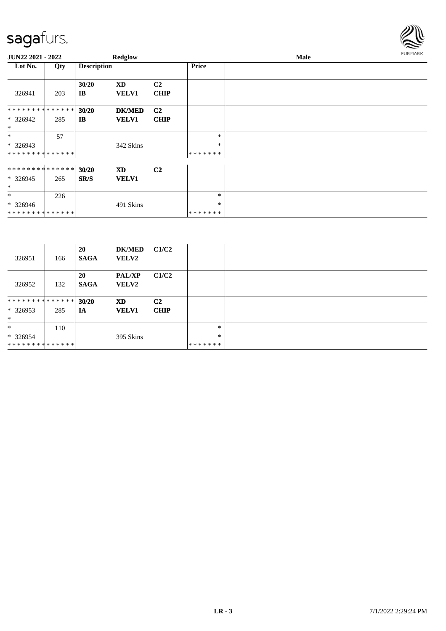

| JUN22 2021 - 2022                 |     |                       | Redglow                   |                               |              | Male |  |  |  |  |  |
|-----------------------------------|-----|-----------------------|---------------------------|-------------------------------|--------------|------|--|--|--|--|--|
| Lot No.                           | Qty | <b>Description</b>    |                           |                               | <b>Price</b> |      |  |  |  |  |  |
| 326941                            | 203 | 30/20<br>IB           | XD<br><b>VELV1</b>        | C <sub>2</sub><br><b>CHIP</b> |              |      |  |  |  |  |  |
| **************                    |     | 30/20                 | <b>DK/MED</b>             | C <sub>2</sub>                |              |      |  |  |  |  |  |
| $* 326942$<br>$\ast$              | 285 | $\mathbf{I}$ <b>B</b> | <b>VELV1</b>              | <b>CHIP</b>                   |              |      |  |  |  |  |  |
| $\ast$                            | 57  |                       |                           |                               | $\ast$       |      |  |  |  |  |  |
| * 326943                          |     |                       | 342 Skins                 |                               | $\ast$       |      |  |  |  |  |  |
| **************                    |     |                       |                           |                               | *******      |      |  |  |  |  |  |
| ************** 30/20<br>$*326945$ | 265 | SR/S                  | <b>XD</b><br><b>VELV1</b> | C <sub>2</sub>                |              |      |  |  |  |  |  |
| $\ast$                            |     |                       |                           |                               |              |      |  |  |  |  |  |
| $\ast$                            | 226 |                       |                           |                               | $\ast$       |      |  |  |  |  |  |
| $* 326946$                        |     |                       | 491 Skins                 |                               | $\ast$       |      |  |  |  |  |  |
| **************                    |     |                       |                           |                               | *******      |      |  |  |  |  |  |

| 326951         | 166 | 20<br><b>SAGA</b>        | <b>DK/MED</b><br><b>VELV2</b> | C1/C2          |         |  |
|----------------|-----|--------------------------|-------------------------------|----------------|---------|--|
| 326952         | 132 | <b>20</b><br><b>SAGA</b> | <b>PAL/XP</b><br><b>VELV2</b> | C1/C2          |         |  |
| ************** |     | 30/20                    | <b>XD</b>                     | C <sub>2</sub> |         |  |
| $*326953$      | 285 | IA                       | <b>VELV1</b>                  | <b>CHIP</b>    |         |  |
| $\ast$         |     |                          |                               |                |         |  |
| $\ast$         | 110 |                          |                               |                | $\ast$  |  |
| $*326954$      |     |                          | 395 Skins                     |                | $\ast$  |  |
| ************** |     |                          |                               |                | ******* |  |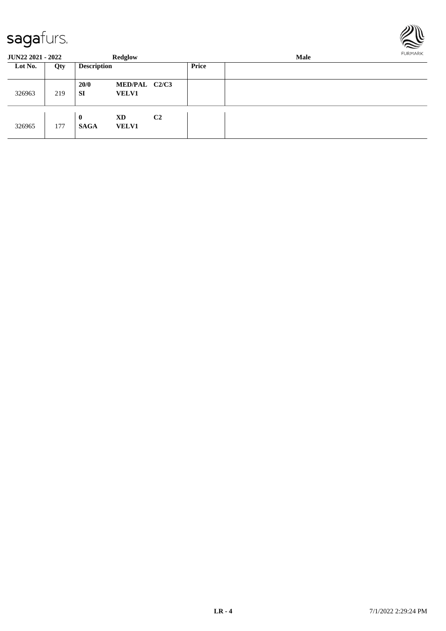

| <b>JUN22 2021 - 2022</b> |     |                             | Redglow                       |                |       | FURMARK |  |  |
|--------------------------|-----|-----------------------------|-------------------------------|----------------|-------|---------|--|--|
| Lot No.                  | Qty | <b>Description</b>          |                               |                | Price |         |  |  |
| 326963                   | 219 | 20/0<br><b>SI</b>           | MED/PAL C2/C3<br><b>VELV1</b> |                |       |         |  |  |
| 326965                   | 177 | $\mathbf{0}$<br><b>SAGA</b> | XD<br><b>VELV1</b>            | C <sub>2</sub> |       |         |  |  |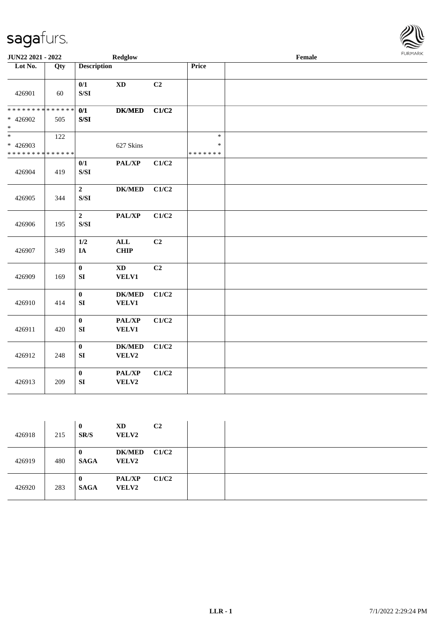

| JUN22 2021 - 2022                                                |     |                                                                                                            | <b>Redglow</b>                      |                |                                   | Female | FURMARK |
|------------------------------------------------------------------|-----|------------------------------------------------------------------------------------------------------------|-------------------------------------|----------------|-----------------------------------|--------|---------|
| Lot No.                                                          | Qty | <b>Description</b>                                                                                         |                                     |                | Price                             |        |         |
| 426901                                                           | 60  | 0/1<br>$\ensuremath{\mathrm{S}}\xspace/\ensuremath{\mathrm{S}}\xspace\ensuremath{\mathrm{I}}$              | $\mathbf{X}\mathbf{D}$              | C <sub>2</sub> |                                   |        |         |
| * * * * * * * * <mark>* * * * * * *</mark><br>* 426902<br>$\ast$ | 505 | 0/1<br>S/SI                                                                                                | <b>DK/MED</b>                       | C1/C2          |                                   |        |         |
| $_{*}$<br>* 426903<br>* * * * * * * * * * * * * *                | 122 |                                                                                                            | 627 Skins                           |                | $\ast$<br>$\ast$<br>* * * * * * * |        |         |
| 426904                                                           | 419 | 0/1<br>$\ensuremath{\mathrm{S}}\xspace/\ensuremath{\mathrm{S}}\xspace\ensuremath{\mathrm{I}}$              | PAL/XP                              | C1/C2          |                                   |        |         |
| 426905                                                           | 344 | $\boldsymbol{2}$<br>$\ensuremath{\mathrm{S}}\xspace/\ensuremath{\mathrm{S}}\xspace\ensuremath{\mathrm{I}}$ | $DK/MED$                            | C1/C2          |                                   |        |         |
| 426906                                                           | 195 | $\mathbf{2}$<br>$\ensuremath{\mathrm{S}}\xspace/\ensuremath{\mathrm{S}}\xspace\ensuremath{\mathrm{I}}$     | PAL/XP                              | C1/C2          |                                   |        |         |
| 426907                                                           | 349 | 1/2<br>IA                                                                                                  | $\mathbf{ALL}$<br><b>CHIP</b>       | C2             |                                   |        |         |
| 426909                                                           | 169 | $\bf{0}$<br>${\bf SI}$                                                                                     | $\mathbf{X}\mathbf{D}$<br>VELV1     | C2             |                                   |        |         |
| 426910                                                           | 414 | $\bf{0}$<br>SI                                                                                             | <b>DK/MED</b><br>VELV1              | C1/C2          |                                   |        |         |
| 426911                                                           | 420 | $\mathbf{0}$<br>${\bf SI}$                                                                                 | PAL/XP<br>VELV1                     | C1/C2          |                                   |        |         |
| 426912                                                           | 248 | $\mathbf{0}$<br>${\bf SI}$                                                                                 | $\mathbf{DK}/\mathbf{MED}$<br>VELV2 | C1/C2          |                                   |        |         |
| 426913                                                           | 209 | $\bf{0}$<br>SI                                                                                             | PAL/XP<br>VELV2                     | C1/C2          |                                   |        |         |

| 426918 | 215 | $\bf{0}$<br>SR/S        | XD<br><b>VELV2</b>            | C <sub>2</sub> |  |
|--------|-----|-------------------------|-------------------------------|----------------|--|
| 426919 | 480 | 0<br><b>SAGA</b>        | DK/MED C1/C2<br><b>VELV2</b>  |                |  |
| 426920 | 283 | $\bf{0}$<br><b>SAGA</b> | <b>PAL/XP</b><br><b>VELV2</b> | C1/C2          |  |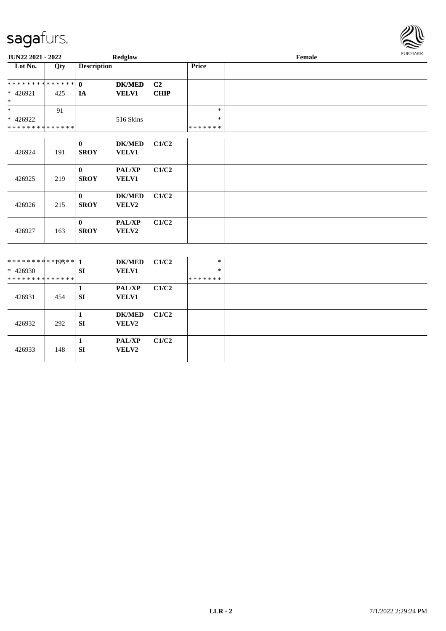

| JUN22 2021 - 2022                       |     |                         | Redglow                |             |                         | Female | FURMARK |
|-----------------------------------------|-----|-------------------------|------------------------|-------------|-------------------------|--------|---------|
| Lot No.                                 | Qty | <b>Description</b>      |                        |             | Price                   |        |         |
| * * * * * * * * * * * * * *             |     | $\mathbf{0}$            | <b>DK/MED</b>          | C2          |                         |        |         |
| * 426921<br>$\ast$                      | 425 | IA                      | <b>VELV1</b>           | <b>CHIP</b> |                         |        |         |
| $\ast$                                  | 91  |                         |                        |             | $\ast$                  |        |         |
| * 426922<br>* * * * * * * * * * * * * * |     |                         | 516 Skins              |             | $\ast$<br>* * * * * * * |        |         |
|                                         |     |                         |                        |             |                         |        |         |
| 426924                                  | 191 | $\bf{0}$<br><b>SROY</b> | <b>DK/MED</b><br>VELV1 | C1/C2       |                         |        |         |
| 426925                                  | 219 | $\bf{0}$<br><b>SROY</b> | PAL/XP<br>VELV1        | C1/C2       |                         |        |         |
|                                         |     |                         |                        |             |                         |        |         |
|                                         |     | $\bf{0}$                | <b>DK/MED</b>          | C1/C2       |                         |        |         |
| 426926                                  | 215 | <b>SROY</b>             | VELV2                  |             |                         |        |         |
|                                         |     | $\bf{0}$                | PAL/XP                 | C1/C2       |                         |        |         |
| 426927                                  | 163 | <b>SROY</b>             | VELV2                  |             |                         |        |         |
|                                         |     |                         |                        |             |                         |        |         |
| ************03** 1                      |     |                         | <b>DK/MED</b>          | C1/C2       | $\ast$                  |        |         |
| $* 426930$                              |     | <b>SI</b>               | VELV1                  |             | $\ast$                  |        |         |
| * * * * * * * * * * * * * *             |     |                         |                        |             | * * * * * * *           |        |         |
|                                         |     | $\mathbf{1}$            | PAL/XP                 | C1/C2       |                         |        |         |
| 426931                                  | 454 | <b>SI</b>               | VELV1                  |             |                         |        |         |
|                                         |     | $\mathbf{1}$            | <b>DK/MED</b>          | C1/C2       |                         |        |         |
| 426932                                  | 292 | SI                      | VELV2                  |             |                         |        |         |
|                                         |     | $\mathbf{1}$            | PAL/XP                 | C1/C2       |                         |        |         |
| 426933                                  | 148 | SI                      | VELV2                  |             |                         |        |         |